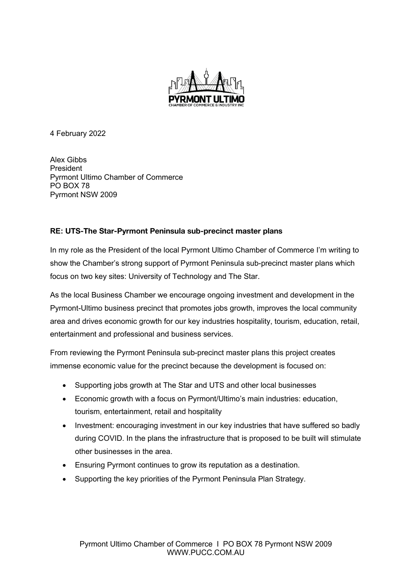

4 February 2022

Alex Gibbs President Pyrmont Ultimo Chamber of Commerce PO BOX 78 Pyrmont NSW 2009

## **RE: UTS-The Star-Pyrmont Peninsula sub-precinct master plans**

In my role as the President of the local Pyrmont Ultimo Chamber of Commerce I'm writing to show the Chamber's strong support of Pyrmont Peninsula sub-precinct master plans which focus on two key sites: University of Technology and The Star.

As the local Business Chamber we encourage ongoing investment and development in the Pyrmont-Ultimo business precinct that promotes jobs growth, improves the local community area and drives economic growth for our key industries hospitality, tourism, education, retail, entertainment and professional and business services.

From reviewing the Pyrmont Peninsula sub-precinct master plans this project creates immense economic value for the precinct because the development is focused on:

- Supporting jobs growth at The Star and UTS and other local businesses
- Economic growth with a focus on Pyrmont/Ultimo's main industries: education, tourism, entertainment, retail and hospitality
- Investment: encouraging investment in our key industries that have suffered so badly during COVID. In the plans the infrastructure that is proposed to be built will stimulate other businesses in the area.
- Ensuring Pyrmont continues to grow its reputation as a destination.
- Supporting the key priorities of the Pyrmont Peninsula Plan Strategy.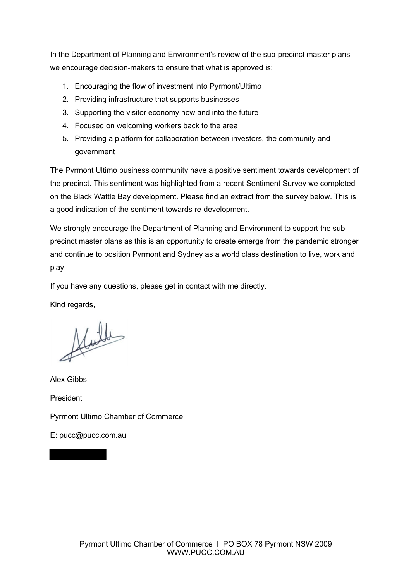In the Department of Planning and Environment's review of the sub-precinct master plans we encourage decision-makers to ensure that what is approved is:

- 1. Encouraging the flow of investment into Pyrmont/Ultimo
- 2. Providing infrastructure that supports businesses
- 3. Supporting the visitor economy now and into the future
- 4. Focused on welcoming workers back to the area
- 5. Providing a platform for collaboration between investors, the community and government

The Pyrmont Ultimo business community have a positive sentiment towards development of the precinct. This sentiment was highlighted from a recent Sentiment Survey we completed on the Black Wattle Bay development. Please find an extract from the survey below. This is a good indication of the sentiment towards re-development.

We strongly encourage the Department of Planning and Environment to support the subprecinct master plans as this is an opportunity to create emerge from the pandemic stronger and continue to position Pyrmont and Sydney as a world class destination to live, work and play.

If you have any questions, please get in contact with me directly.

Kind regards,

Nulle

Alex Gibbs

President

Pyrmont Ultimo Chamber of Commerce

E: pucc@pucc.com.au